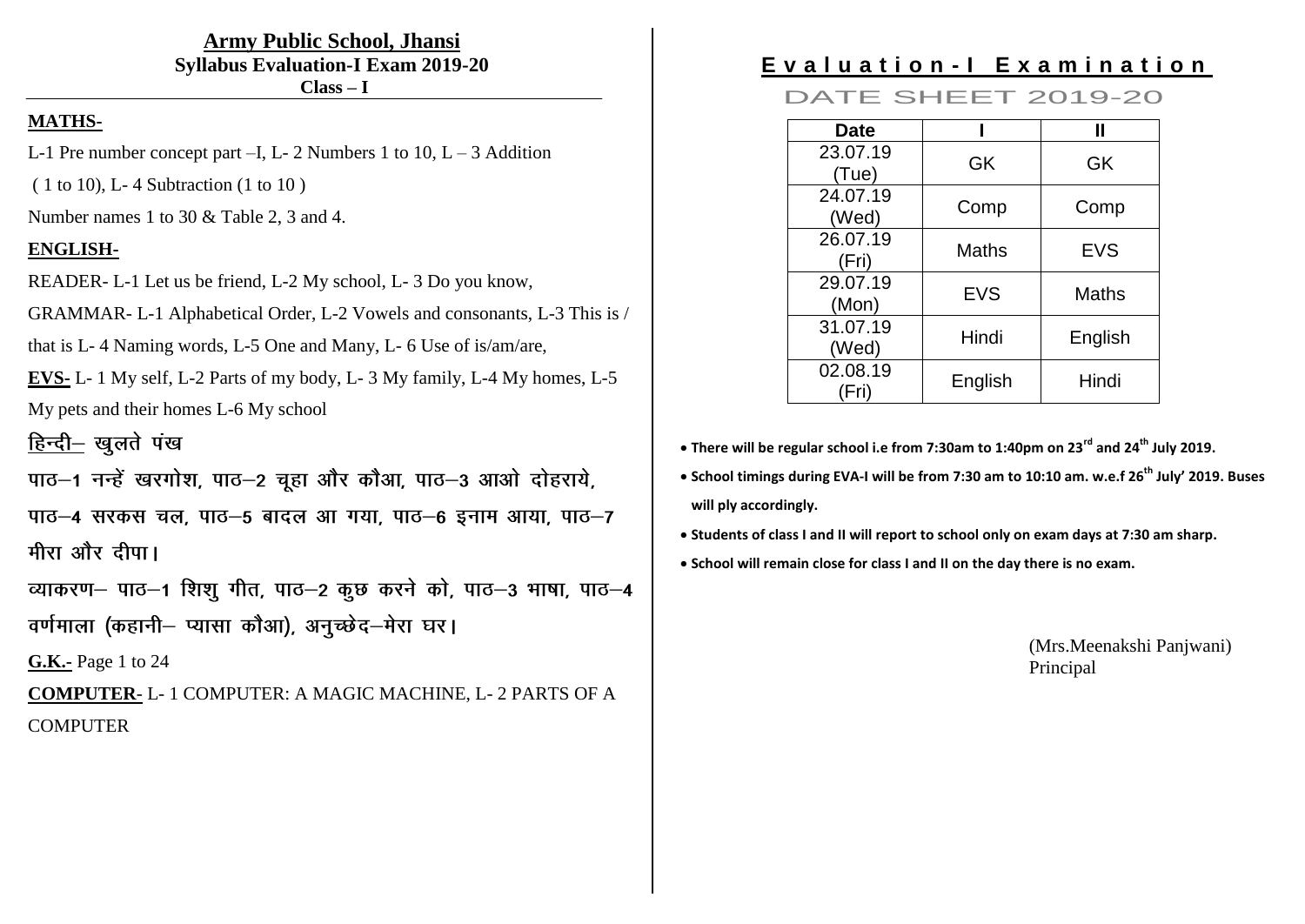**Army Public School, Jhansi Syllabus Evaluation-I Exam 2019-20 Class – I**

#### **MATHS-**

- L-1 Pre number concept part  $-I$ , L-2 Numbers 1 to 10, L 3 Addition
- ( 1 to 10), L- 4 Subtraction (1 to 10 )

Number names 1 to 30 & Table 2, 3 and 4.

### **ENGLISH-**

READER- L-1 Let us be friend, L-2 My school, L- 3 Do you know,

GRAMMAR- L-1 Alphabetical Order, L-2 Vowels and consonants, L-3 This is /

that is L- 4 Naming words, L-5 One and Many, L- 6 Use of is/am/are,

**EVS-** L- 1 My self, L-2 Parts of my body, L- 3 My family, L-4 My homes, L-5

My pets and their homes L-6 My school

हिन्दी- खुलते पंख

पाठ-1 नन्हें खरगोश, पाठ-2 चूहा और कौआ, पाठ-3 आओ दोहराये,

पाठ-4 सरकस चल, पाठ-5 बादल आ गया, पाठ-6 इनाम आया, पाठ-7 मीरा और दीपा।

व्याकरण- पाठ-1 शिशू गीत, पाठ-2 कूछ करने को, पाठ-3 भाषा, पाठ-4 वर्णमाला (कहानी– प्यासा कौआ), अनुच्छेद–मेरा घर।

**G.K.-** Page 1 to 24

**COMPUTER**- L- 1 COMPUTER: A MAGIC MACHINE, L- 2 PARTS OF A **COMPUTER** 

# **E v a l u a t i o n - I E x a m i n a t i o n**

DATE SHEET 2019-20

| <b>Date</b>       |            |            |
|-------------------|------------|------------|
| 23.07.19<br>Tue)  | GK         | GK         |
| 24.07.19<br>(Wed) | Comp       | Comp       |
| 26.07.19<br>(Fri) | Maths      | <b>EVS</b> |
| 29.07.19<br>(Mon) | <b>EVS</b> | Maths      |
| 31.07.19<br>(Wed) | Hindi      | English    |
| 02.08.19<br>Fri)  | English    | Hindi      |

**There will be regular school i.e from 7:30am to 1:40pm on 23rd and 24th July 2019.**

 **School timings during EVA-I will be from 7:30 am to 10:10 am. w.e.f 26th July' 2019. Buses will ply accordingly.**

- **Students of class I and II will report to school only on exam days at 7:30 am sharp.**
- **School will remain close for class I and II on the day there is no exam.**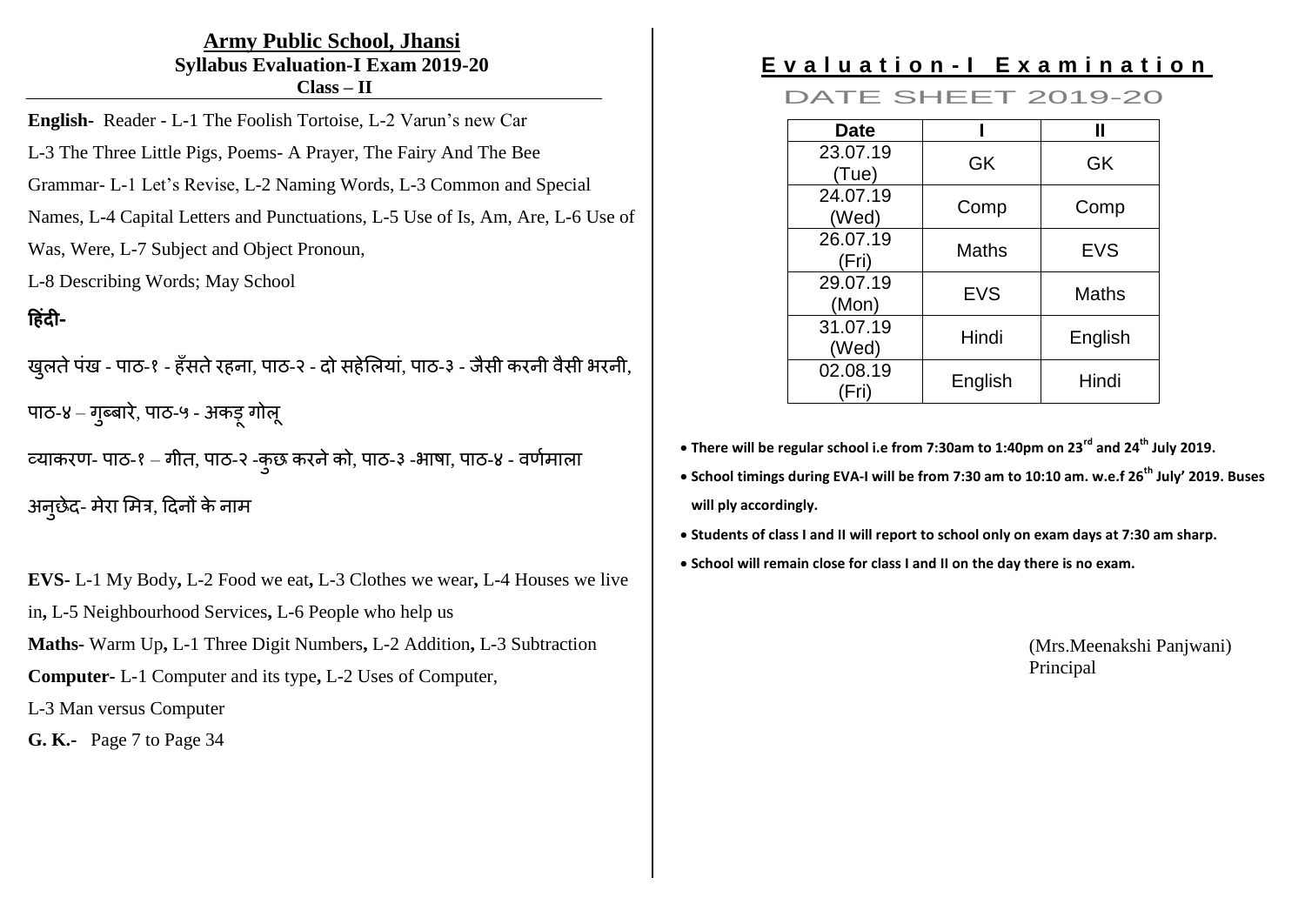#### **Army Public School, Jhansi Syllabus Evaluation-I Exam 2019-20 Class – II**

**English-** Reader - L-1 The Foolish Tortoise, L-2 Varun's new Car

L-3 The Three Little Pigs, Poems- A Prayer, The Fairy And The Bee

Grammar- L-1 Let's Revise, L-2 Naming Words, L-3 Common and Special

Names, L-4 Capital Letters and Punctuations, L-5 Use of Is, Am, Are, L-6 Use of

Was, Were, L-7 Subject and Object Pronoun,

L-8 Describing Words; May School

# **-**

खुलते पंख - पाठ-१ - हँसते रहना, पाठ-२ - दो सहेलियां, पाठ-३ - जैसी करनी वैसी भरनी, पाठ-४ – गुब्बारे, पाठ-५ - अकड़् गोलू

व्याकरण- पाठ-१ – गीत, पाठ-२ -कुछ करने को, पाठ-३ -भाषा, पाठ-४ - वर्णमाला

अनुछेद- मेरा मित्र, दिनों के नाम

**EVS-** L-1 My Body**,** L-2 Food we eat**,** L-3 Clothes we wear**,** L-4 Houses we live

in**,** L-5 Neighbourhood Services**,** L-6 People who help us

**Maths-** Warm Up**,** L-1 Three Digit Numbers**,** L-2 Addition**,** L-3 Subtraction

**Computer-** L-1 Computer and its type**,** L-2 Uses of Computer,

L-3 Man versus Computer

**G. K.-** Page 7 to Page 34

# **E v a l u a t i o n - I E x a m i n a t i o n**

DATE SHEET 2019-20

| <b>Date</b>       |              |            |
|-------------------|--------------|------------|
| 23.07.19<br>(Tue) | GK           | GK         |
| 24.07.19<br>(Wed) | Comp         | Comp       |
| 26.07.19<br>(Fri) | <b>Maths</b> | <b>EVS</b> |
| 29.07.19<br>(Mon) | <b>EVS</b>   | Maths      |
| 31.07.19<br>(Wed) | Hindi        | English    |
| 02.08.19<br>'Fri) | English      | Hindi      |

**There will be regular school i.e from 7:30am to 1:40pm on 23rd and 24th July 2019.**

 **School timings during EVA-I will be from 7:30 am to 10:10 am. w.e.f 26th July' 2019. Buses will ply accordingly.**

- **Students of class I and II will report to school only on exam days at 7:30 am sharp.**
- **School will remain close for class I and II on the day there is no exam.**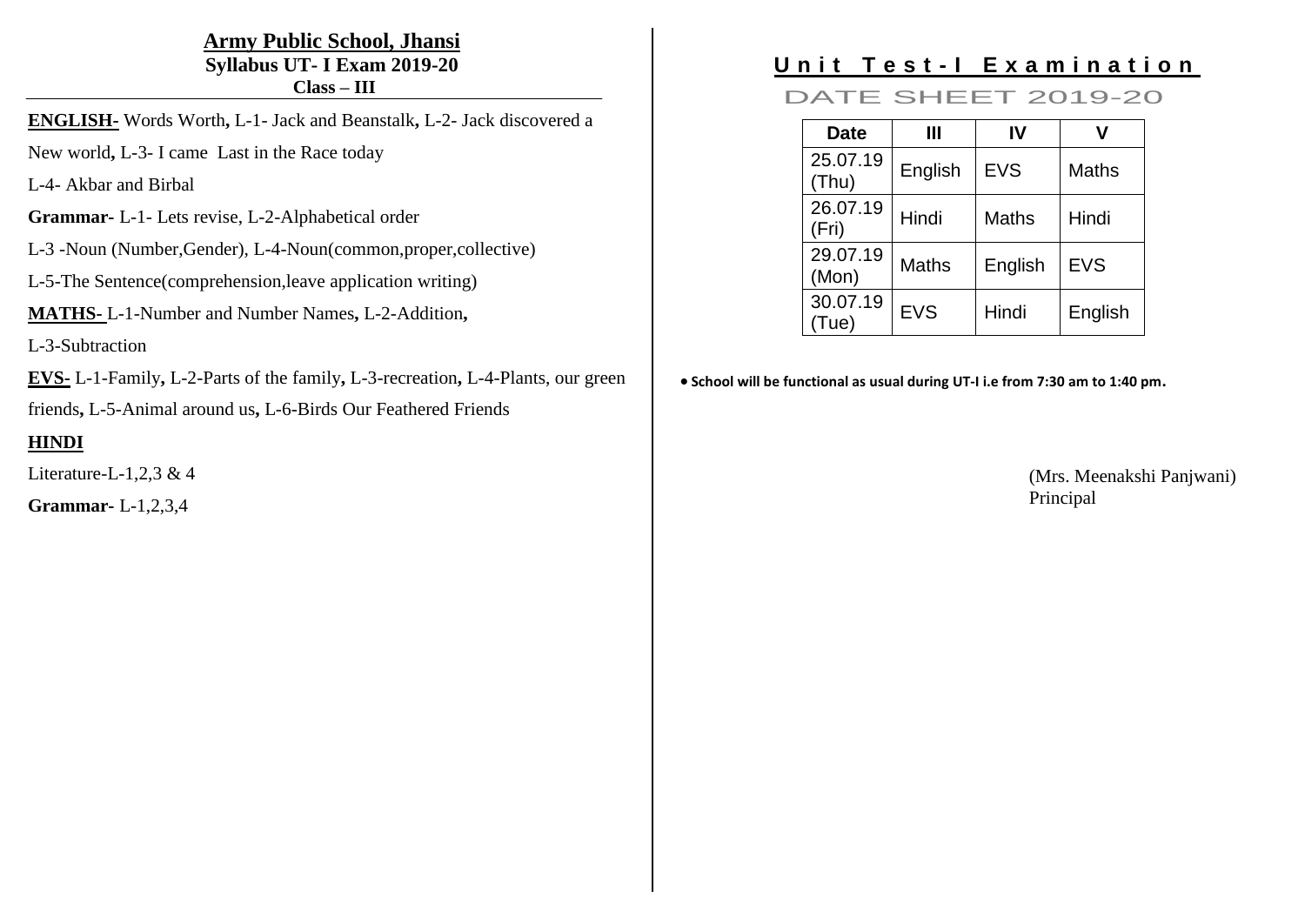#### **Army Public School, Jhansi Syllabus UT- I Exam 2019-20 Class – III**

**ENGLISH-** Words Worth**,** L-1- Jack and Beanstalk**,** L-2- Jack discovered a

New world**,** L-3- I came Last in the Race today

L-4- Akbar and Birbal

- **Grammar-** L-1- Lets revise, L-2-Alphabetical order
- L-3 -Noun (Number,Gender), L-4-Noun(common,proper,collective)
- L-5-The Sentence(comprehension,leave application writing)
- **MATHS-** L-1-Number and Number Names**,** L-2-Addition**,**

L-3-Subtraction

**EVS-** L-1-Family**,** L-2-Parts of the family**,** L-3-recreation**,** L-4-Plants, our green

friends**,** L-5-Animal around us**,** L-6-Birds Our Feathered Friends

#### **HINDI**

Literature-L-1,2,3 & 4

**Grammar-** L-1,2,3,4

# **Unit Test-I Examination**

DATE SHEET 2019-20

| Date              | Ш            | IV           |              |
|-------------------|--------------|--------------|--------------|
| 25.07.19<br>(Thu) | English      | <b>EVS</b>   | <b>Maths</b> |
| 26.07.19<br>(Fri) | Hindi        | <b>Maths</b> | Hindi        |
| 29.07.19<br>(Mon) | <b>Maths</b> | English      | <b>EVS</b>   |
| 30.07.19<br>(Tue) | <b>EVS</b>   | Hindi        | English      |

**School will be functional as usual during UT-I i.e from 7:30 am to 1:40 pm.**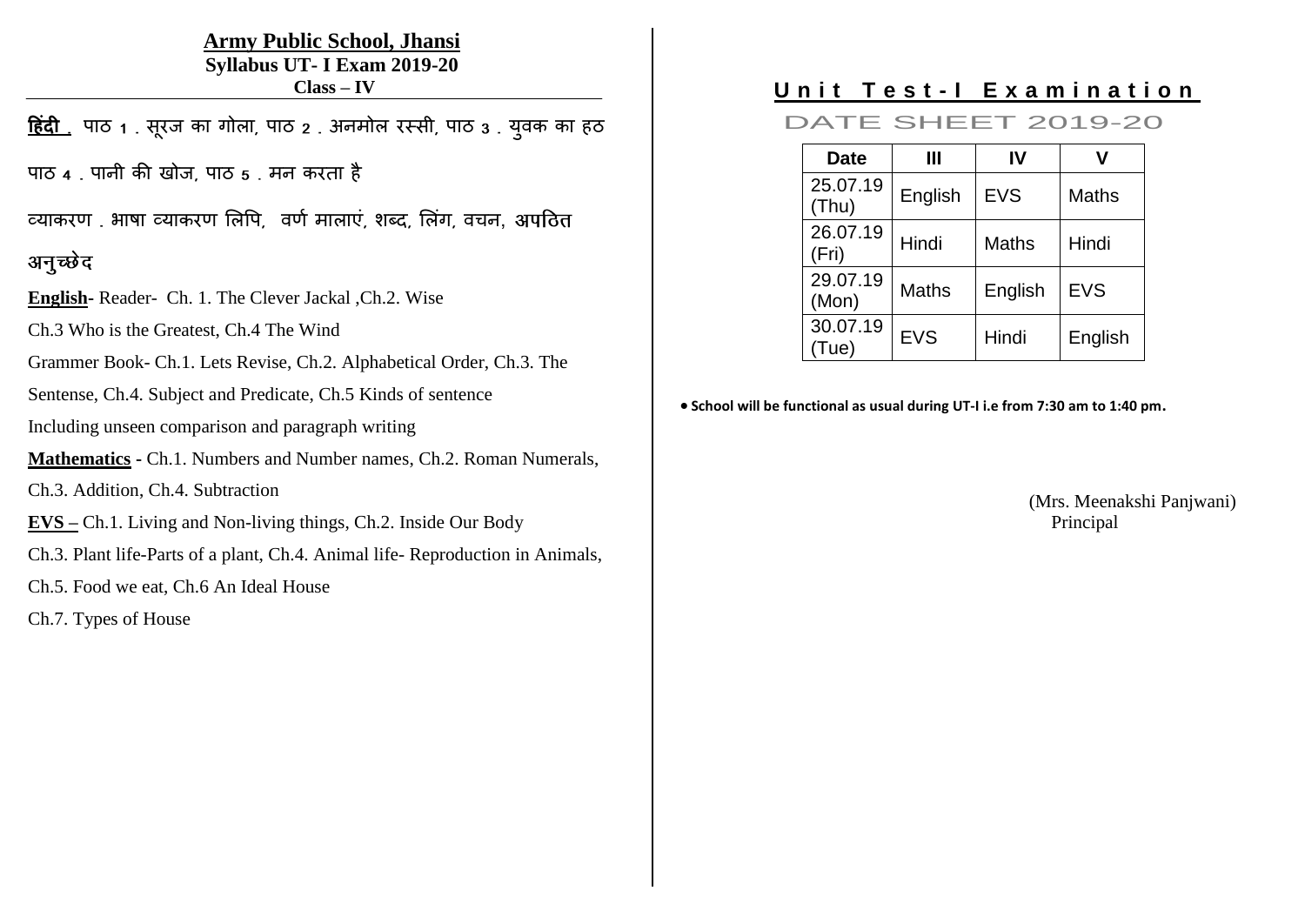#### **Army Public School, Jhansi Syllabus UT- I Exam 2019-20 Class – IV**

<u>हिंदी .</u> पाठ 1 . सूरज का गोला, पाठ 2 . अनमोल रस्सी, पाठ 3 . युवक का हठ

पाठ 4 . पानी की खोज, पाठ 5 . मन करता है

व्याकरण. भाषा व्याकरण लिपि, वर्ण मालाएं, शब्द, लिंग, वचन, अपठित

## अनुच्छेद

**English-** Reader- Ch. 1. The Clever Jackal ,Ch.2. Wise

Ch.3 Who is the Greatest, Ch.4 The Wind

Grammer Book- Ch.1. Lets Revise, Ch.2. Alphabetical Order, Ch.3. The

Sentense, Ch.4. Subject and Predicate, Ch.5 Kinds of sentence

Including unseen comparison and paragraph writing

**Mathematics -** Ch.1. Numbers and Number names, Ch.2. Roman Numerals,

Ch.3. Addition, Ch.4. Subtraction

**EVS –** Ch.1. Living and Non-living things, Ch.2. Inside Our Body

Ch.3. Plant life-Parts of a plant, Ch.4. Animal life- Reproduction in Animals,

Ch.5. Food we eat, Ch.6 An Ideal House

Ch.7. Types of House

# Unit Test-I Examination

DATE SHEET 2019-20

| <b>Date</b>       | Ш            | IV           |              |
|-------------------|--------------|--------------|--------------|
| 25.07.19<br>(Thu) | English      | <b>EVS</b>   | <b>Maths</b> |
| 26.07.19<br>(Fri) | Hindi        | <b>Maths</b> | Hindi        |
| 29.07.19<br>(Mon) | <b>Maths</b> | English      | <b>EVS</b>   |
| 30.07.19<br>Tue)  | <b>EVS</b>   | Hindi        | English      |

**School will be functional as usual during UT-I i.e from 7:30 am to 1:40 pm.**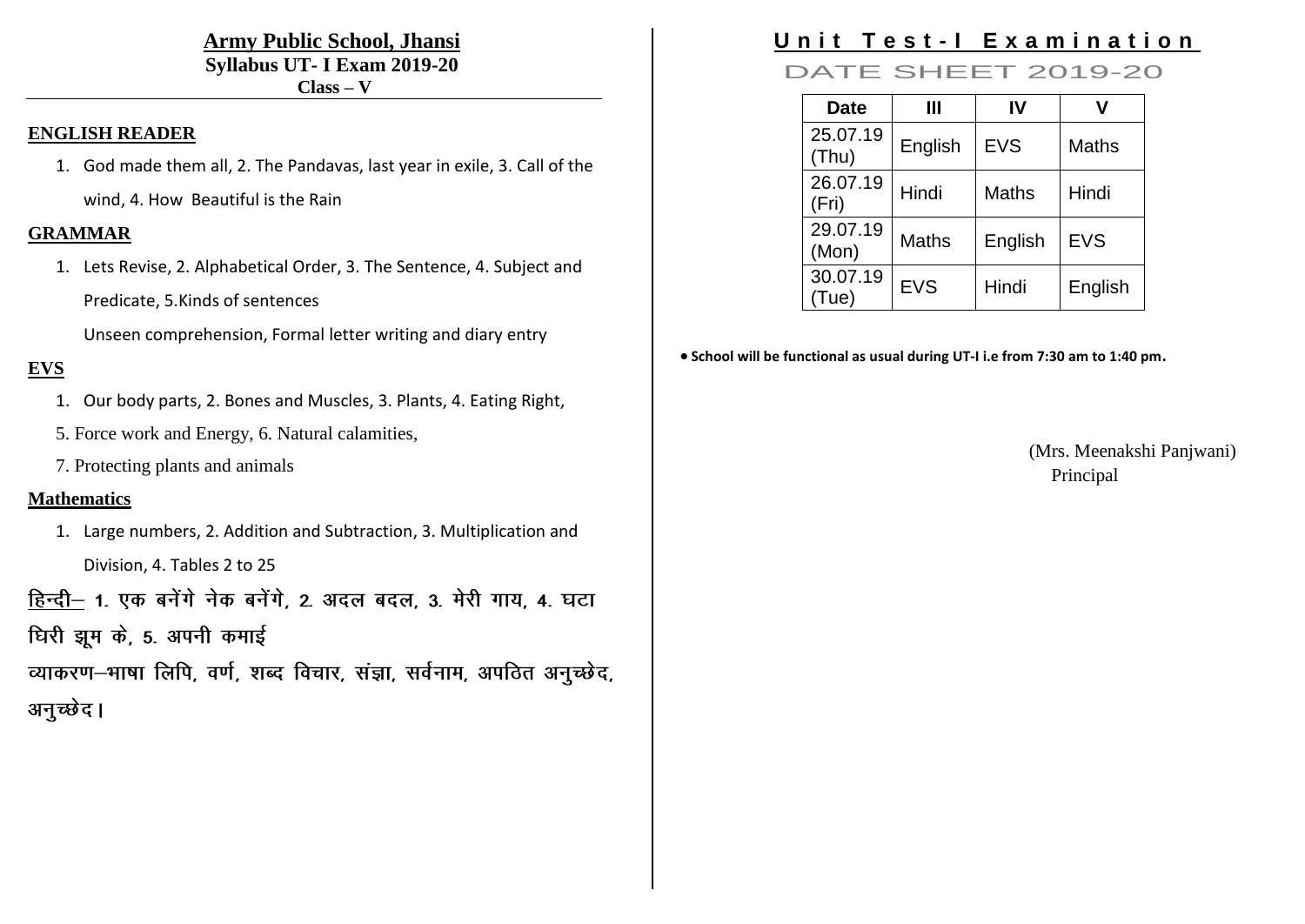#### **Army Public School, Jhansi Syllabus UT- I Exam 2019-20 Class – V**

#### **ENGLISH READER**

1. God made them all, 2. The Pandavas, last year in exile, 3. Call of the wind, 4. How Beautiful is the Rain

#### **GRAMMAR**

1. Lets Revise, 2. Alphabetical Order, 3. The Sentence, 4. Subject and Predicate, 5.Kinds of sentences

Unseen comprehension, Formal letter writing and diary entry

#### **EVS**

- 1. Our body parts, 2. Bones and Muscles, 3. Plants, 4. Eating Right,
- 5. Force work and Energy, 6. Natural calamities,
- 7. Protecting plants and animals

#### **Mathematics**

1. Large numbers, 2. Addition and Subtraction, 3. Multiplication and Division, 4. Tables 2 to 25

हिन्दी - 1. एक बनेंगे नेक बनेंगे, 2. अदल बदल, 3. मेरी गाय, 4. घटा

धिरी झूम के, 5. अपनी कमाई

व्याकरण-भाषा लिपि, वर्ण, शब्द विचार, संज्ञा, सर्वनाम, अपठित अनुच्छेद, अनुच्छेद।

# **Unit Test-I Examination**

### DATE SHEET 2019-20

| <b>Date</b>       | Ш            | IV           |              |
|-------------------|--------------|--------------|--------------|
| 25.07.19<br>(Thu) | English      | <b>EVS</b>   | <b>Maths</b> |
| 26.07.19<br>(Fri) | Hindi        | <b>Maths</b> | Hindi        |
| 29.07.19<br>(Mon) | <b>Maths</b> | English      | <b>EVS</b>   |
| 30.07.19<br>Tue)  | <b>EVS</b>   | Hindi        | English      |

**School will be functional as usual during UT-I i.e from 7:30 am to 1:40 pm.**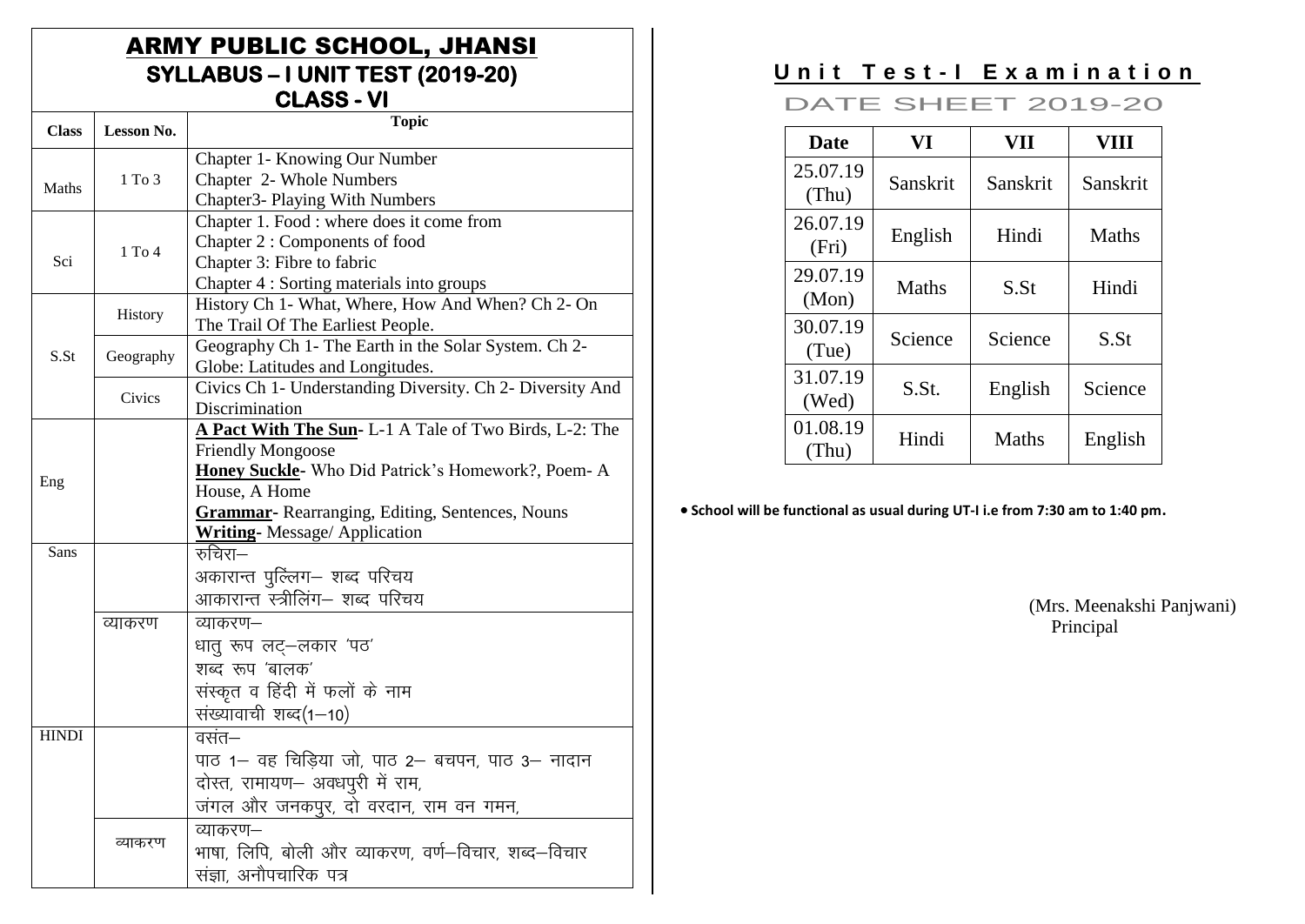## **ARMY PUBLIC SCHOOL, JHANSI** SYLLABUS - I UNIT TEST (2019-20) **CLASS - VI**

| <b>Class</b> | Lesson No. | <b>Topic</b>                                                                            |
|--------------|------------|-----------------------------------------------------------------------------------------|
|              |            | Chapter 1- Knowing Our Number                                                           |
| Maths        | $1$ To $3$ | Chapter 2- Whole Numbers                                                                |
|              |            | Chapter3- Playing With Numbers                                                          |
|              |            | Chapter 1. Food : where does it come from                                               |
|              | $1$ To $4$ | Chapter 2 : Components of food                                                          |
| Sci          |            | Chapter 3: Fibre to fabric                                                              |
|              |            | Chapter 4 : Sorting materials into groups                                               |
|              | History    | History Ch 1- What, Where, How And When? Ch 2- On                                       |
|              |            | The Trail Of The Earliest People.                                                       |
| S.St         | Geography  | Geography Ch 1- The Earth in the Solar System. Ch 2-                                    |
|              |            | Globe: Latitudes and Longitudes.                                                        |
|              | Civics     | Civics Ch 1- Understanding Diversity. Ch 2- Diversity And                               |
|              |            | Discrimination                                                                          |
|              |            | A Pact With The Sun- L-1 A Tale of Two Birds, L-2: The                                  |
|              |            | <b>Friendly Mongoose</b>                                                                |
| Eng          |            | Honey Suckle- Who Did Patrick's Homework?, Poem- A                                      |
|              |            | House, A Home                                                                           |
|              |            | Grammar- Rearranging, Editing, Sentences, Nouns<br><b>Writing-</b> Message/ Application |
| Sans         |            | रुचिरा—                                                                                 |
|              |            | अकारान्त पुल्लिंग– शब्द परिचय                                                           |
|              |            | आकारान्त स्त्रीलिंग– शब्द परिचय                                                         |
|              | व्याकरण    | व्याकरण—                                                                                |
|              |            | धात् रूप लट्-लकार 'पठ'                                                                  |
|              |            | शब्द रूप 'बालक'                                                                         |
|              |            | संस्कृत व हिंदी में फलों के नाम                                                         |
|              |            |                                                                                         |
| <b>HINDI</b> |            | संख्यावाची शब्द(1–10)                                                                   |
|              |            | वसंत—                                                                                   |
|              |            | पाठ 1- वह चिडिया जो, पाठ 2- बचपन, पाठ 3- नादान                                          |
|              |            | दोस्त, रामायण- अवधपुरी में राम,                                                         |
|              |            | जंगल और जनकपुर, दो वरदान, राम वन गमन,                                                   |
|              |            | व्याकरण—                                                                                |
|              | व्याकरण    | भाषा, लिपि, बोली और व्याकरण, वर्ण—विचार, शब्द—विचार                                     |
|              |            | संज्ञा. अनौपचारिक पत्र                                                                  |

# Unit Test-I Examination

**DATE SHEET 2019-20** 

| <b>Date</b>       | VI           | VII          | VIII             |
|-------------------|--------------|--------------|------------------|
| 25.07.19<br>(Thu) | Sanskrit     | Sanskrit     | Sanskrit         |
| 26.07.19<br>(Fri) | English      | Hindi        | <b>Maths</b>     |
| 29.07.19<br>(Mon) | <b>Maths</b> | S.St         | Hindi            |
| 30.07.19<br>(Tue) | Science      | Science      | S.S <sub>t</sub> |
| 31.07.19<br>(Wed) | S.St.        | English      | Science          |
| 01.08.19<br>(Thu) | Hindi        | <b>Maths</b> | English          |

• School will be functional as usual during UT-I i.e from 7:30 am to 1:40 pm.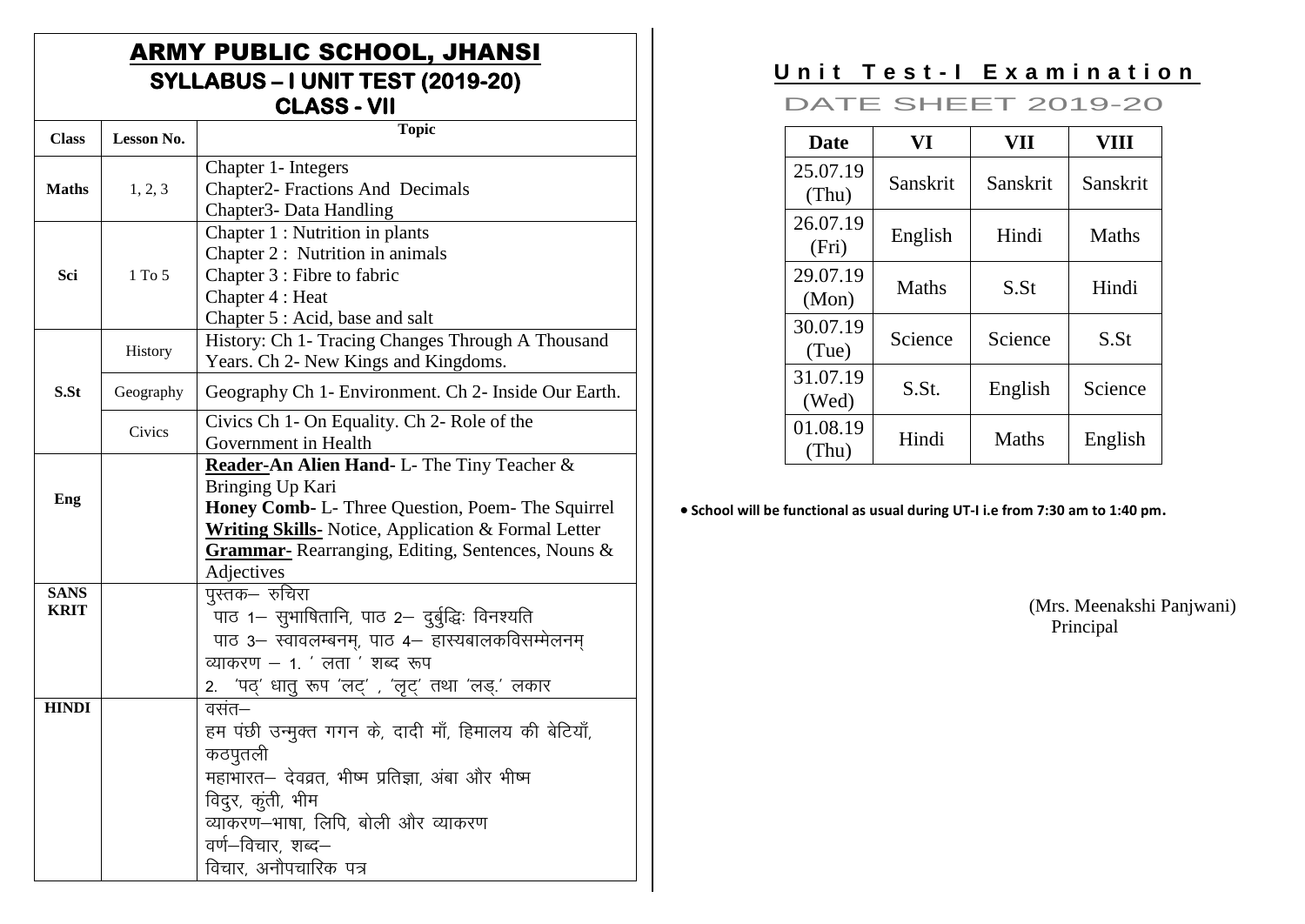# **ARMY PUBLIC SCHOOL, JHANSI** SYLLABUS - I UNIT TEST (2019-20)<br>CLASS - VII

| <b>Class</b>               | Lesson No. | <b>Topic</b>                                                                                                                                                                                                                                                 |
|----------------------------|------------|--------------------------------------------------------------------------------------------------------------------------------------------------------------------------------------------------------------------------------------------------------------|
| <b>Maths</b>               | 1, 2, 3    | Chapter 1- Integers<br>Chapter2- Fractions And Decimals<br>Chapter3- Data Handling                                                                                                                                                                           |
| Sci                        | $1$ To $5$ | Chapter 1 : Nutrition in plants<br>Chapter 2 : Nutrition in animals<br>Chapter 3 : Fibre to fabric<br>Chapter 4 : Heat<br>Chapter 5 : Acid, base and salt                                                                                                    |
|                            | History    | History: Ch 1- Tracing Changes Through A Thousand<br>Years. Ch 2- New Kings and Kingdoms.                                                                                                                                                                    |
| S.St                       | Geography  | Geography Ch 1- Environment. Ch 2- Inside Our Earth.                                                                                                                                                                                                         |
|                            | Civics     | Civics Ch 1- On Equality. Ch 2- Role of the<br>Government in Health                                                                                                                                                                                          |
| Eng                        |            | Reader-An Alien Hand- L- The Tiny Teacher &<br>Bringing Up Kari<br>Honey Comb- L- Three Question, Poem- The Squirrel<br><b>Writing Skills-</b> Notice, Application & Formal Letter<br><b>Grammar-</b> Rearranging, Editing, Sentences, Nouns &<br>Adjectives |
| <b>SANS</b><br><b>KRIT</b> |            | पुस्तक– रुचिरा<br>पाठ 1– सुभाषितानि, पाठ 2– दुर्बुद्धिः विनश्यति<br>पाठ 3- स्वावलम्बनम्, पाठ 4- हास्यबालकविसम्मेलनम<br>व्याकरण $-1$ . ' लता ' शब्द रूप<br>'पठ्' धातु रूप 'लट्' , 'लृट्' तथा 'लड्.' लकार<br>2.                                                |
| <b>HINDI</b>               |            | वसंत—<br>हम पंछी उन्मुक्त गगन के, दादी माँ, हिमालय की बेटियाँ,<br>कठपुतली<br>महाभारत– देवव्रत, भीष्म प्रतिज्ञा, अंबा और भीष्म<br>विद्रु, कूंती, भीम<br>व्याकरण-भाषा, लिपि, बोली और व्याकरण<br>वर्ण—विचार, शब्द—<br>विचार, अनौपचारिक पत्र                     |

# Unit Test-I Examination

### **DATE SHEET 2019-20**

| <b>Date</b>       | VI           | VII              | VIII             |
|-------------------|--------------|------------------|------------------|
| 25.07.19<br>(Thu) | Sanskrit     | Sanskrit         | Sanskrit         |
| 26.07.19<br>(Fri) | English      | Hindi            | <b>Maths</b>     |
| 29.07.19<br>(Mon) | <b>Maths</b> | S.S <sub>t</sub> | Hindi            |
| 30.07.19<br>(Tue) | Science      | Science          | S.S <sub>t</sub> |
| 31.07.19<br>(Wed) | S.St.        | English          | Science          |
| 01.08.19<br>(Thu) | Hindi        | <b>Maths</b>     | English          |

• School will be functional as usual during UT-I i.e from 7:30 am to 1:40 pm.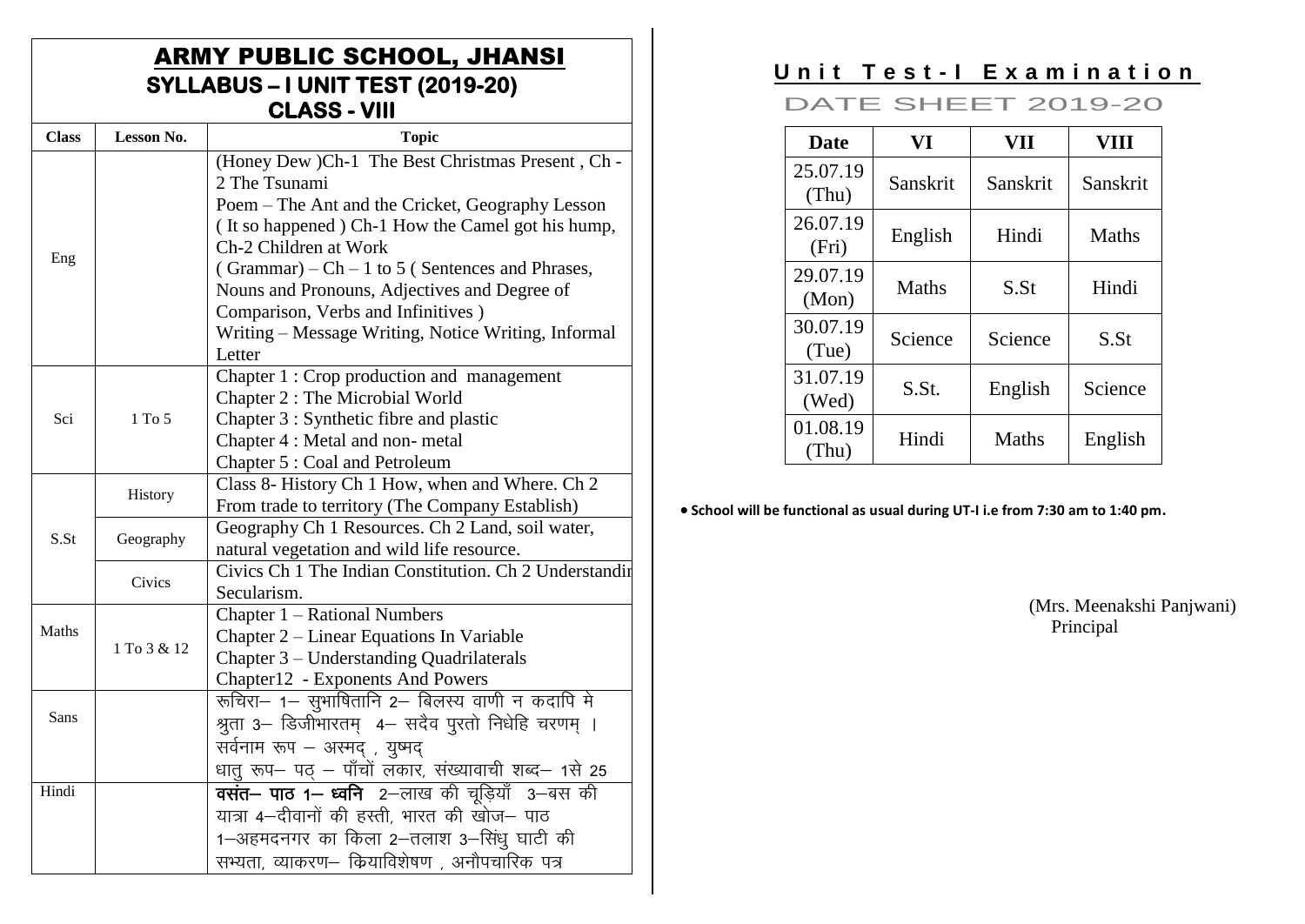# **ARMY PUBLIC SCHOOL, JHANSI** SYLLABUS - I UNIT TEST (2019-20)<br>CLASS - VIII

| <b>Class</b> | <b>Lesson No.</b> | <b>Topic</b>                                           |
|--------------|-------------------|--------------------------------------------------------|
|              |                   | (Honey Dew )Ch-1 The Best Christmas Present, Ch -      |
|              |                   | 2 The Tsunami                                          |
|              |                   | Poem – The Ant and the Cricket, Geography Lesson       |
|              |                   | (It so happened) Ch-1 How the Camel got his hump,      |
| Eng          |                   | Ch-2 Children at Work                                  |
|              |                   | (Grammar) – Ch – 1 to 5 (Sentences and Phrases,        |
|              |                   | Nouns and Pronouns, Adjectives and Degree of           |
|              |                   | Comparison, Verbs and Infinitives)                     |
|              |                   | Writing - Message Writing, Notice Writing, Informal    |
|              |                   | Letter                                                 |
|              |                   | Chapter 1 : Crop production and management             |
|              |                   | Chapter 2 : The Microbial World                        |
| Sci          | 1 To 5            | Chapter 3 : Synthetic fibre and plastic                |
|              |                   | Chapter 4 : Metal and non-metal                        |
|              |                   | Chapter 5 : Coal and Petroleum                         |
|              | History           | Class 8- History Ch 1 How, when and Where. Ch 2        |
|              |                   | From trade to territory (The Company Establish)        |
| S.St         | Geography         | Geography Ch 1 Resources. Ch 2 Land, soil water,       |
|              |                   | natural vegetation and wild life resource.             |
|              | Civics            | Civics Ch 1 The Indian Constitution. Ch 2 Understandin |
|              |                   | Secularism.                                            |
|              |                   | Chapter 1 – Rational Numbers                           |
| Maths        | 1 To 3 & 12       | Chapter 2 – Linear Equations In Variable               |
|              |                   | Chapter 3 - Understanding Quadrilaterals               |
|              |                   | Chapter12 - Exponents And Powers                       |
|              |                   | रूचिरा- 1- सुभाषितानि 2- बिलस्य वाणी न कदापि मे        |
| Sans         |                   | श्रुता 3– डिजीभारतम् 4– सदैव पुरतो निधेहि चरणम् ।      |
|              |                   | सर्वनाम रूप – अस्मद् , युष्मद्                         |
|              |                   | धातु रूप– पठ् – पाँचों लकार, संख्यावाची शब्द– 1से 25   |
| Hindi        |                   | <b>वसंत– पाठ 1– ध्वनि</b> 2–लाख की चुडियाँ 3–बस की     |
|              |                   | यात्रा 4–दीवानों की हस्ती, भारत की खोज– पाठ            |
|              |                   | 1-अहमदनगर का किला 2-तलाश 3-सिंधु घाटी की               |
|              |                   | सभ्यता, व्याकरण— कियाविशेषण , अनौपचारिक पत्र           |

# Unit Test-I Examination

### **DATE SHEET 2019-20**

| <b>Date</b>       | VI           | VII              | <b>VIII</b>      |
|-------------------|--------------|------------------|------------------|
| 25.07.19<br>(Thu) | Sanskrit     | Sanskrit         | Sanskrit         |
| 26.07.19<br>(Fri) | English      | Hindi            | <b>Maths</b>     |
| 29.07.19<br>(Mon) | <b>Maths</b> | S.S <sub>t</sub> | Hindi            |
| 30.07.19<br>(Tue) | Science      | Science          | S.S <sub>t</sub> |
| 31.07.19<br>(Wed) | S.St.        | English          | Science          |
| 01.08.19<br>(Thu) | Hindi        | <b>Maths</b>     | English          |

• School will be functional as usual during UT-I i.e from 7:30 am to 1:40 pm.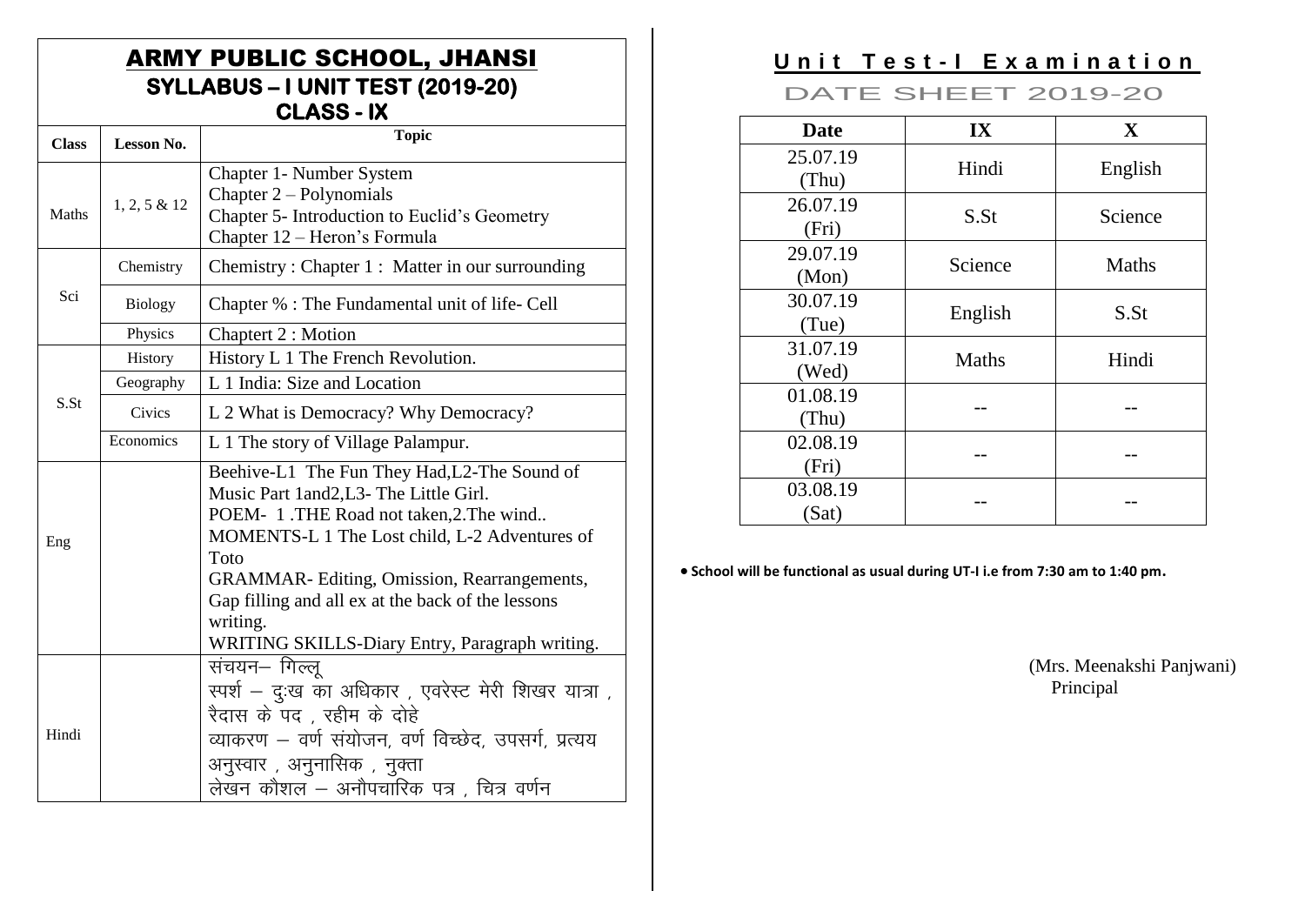## **ARMY PUBLIC SCHOOL, JHANSI** SYLLABUS - I UNIT TEST (2019-20) **CLASS - IX**

| <b>Class</b> | <b>Lesson No.</b> | <b>Topic</b>                                                                                                                                                                                                                                                                                                                                               |
|--------------|-------------------|------------------------------------------------------------------------------------------------------------------------------------------------------------------------------------------------------------------------------------------------------------------------------------------------------------------------------------------------------------|
| Maths        | $1, 2, 5 \& 12$   | Chapter 1- Number System<br>Chapter $2 -$ Polynomials<br>Chapter 5- Introduction to Euclid's Geometry<br>Chapter 12 – Heron's Formula                                                                                                                                                                                                                      |
|              | Chemistry         | Chemistry: Chapter 1: Matter in our surrounding                                                                                                                                                                                                                                                                                                            |
| Sci          | <b>Biology</b>    | Chapter % : The Fundamental unit of life- Cell                                                                                                                                                                                                                                                                                                             |
|              | Physics           | Chaptert 2 : Motion                                                                                                                                                                                                                                                                                                                                        |
|              | History           | History L 1 The French Revolution.                                                                                                                                                                                                                                                                                                                         |
|              | Geography         | L 1 India: Size and Location                                                                                                                                                                                                                                                                                                                               |
| S.St         | Civics            | L 2 What is Democracy? Why Democracy?                                                                                                                                                                                                                                                                                                                      |
|              | Economics         | L 1 The story of Village Palampur.                                                                                                                                                                                                                                                                                                                         |
| Eng          |                   | Beehive-L1 The Fun They Had, L2-The Sound of<br>Music Part 1and2,L3- The Little Girl.<br>POEM- 1.THE Road not taken, 2. The wind<br>MOMENTS-L 1 The Lost child, L-2 Adventures of<br>Toto<br>GRAMMAR-Editing, Omission, Rearrangements,<br>Gap filling and all ex at the back of the lessons<br>writing.<br>WRITING SKILLS-Diary Entry, Paragraph writing. |
| Hindi        |                   | संचयन– गिल्लू<br>स्पर्श – दुःख का अधिकार , एवरेस्ट मेरी शिखर यात्रा ,<br>रैदास के पद, रहीम के दोहे<br>व्याकरण – वर्ण संयोजन, वर्ण विच्छेद, उपसर्ग, प्रत्यय<br>अनुस्वार , अनुनासिक , नुक्ता<br>लेखन कौशल – अनौपचारिक पत्र , चित्र वर्णन                                                                                                                     |

# Unit Test-I Examination

## **DATE SHEET 2019-20**

| <b>Date</b>       | IX      | X            |
|-------------------|---------|--------------|
| 25.07.19<br>(Thu) | Hindi   | English      |
| 26.07.19<br>(Fri) | S.St    | Science      |
| 29.07.19<br>(Mon) | Science | <b>Maths</b> |
| 30.07.19<br>(Tue) | English | S.St         |
| 31.07.19<br>(Wed) | Maths   | Hindi        |
| 01.08.19<br>(Thu) |         |              |
| 02.08.19<br>(Fri) |         |              |
| 03.08.19<br>(Sat) |         |              |

• School will be functional as usual during UT-I i.e from 7:30 am to 1:40 pm.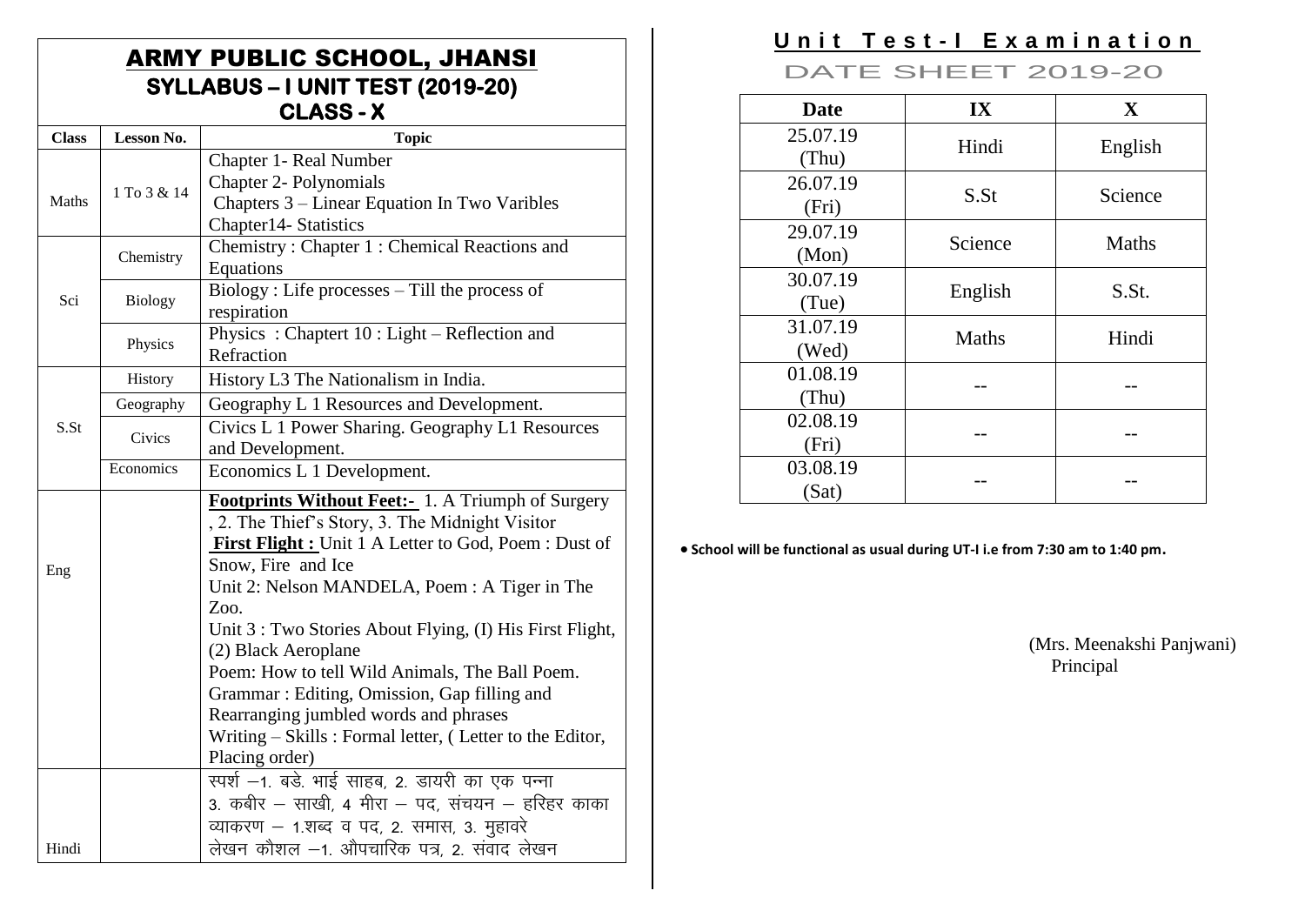## **ARMY PUBLIC SCHOOL, JHANSI** SYLLABUS - I UNIT TEST (2019-20) CLASS-X

| <b>Class</b>        | Lesson No.                                     | <b>Topic</b>                                                                                     |  |  |
|---------------------|------------------------------------------------|--------------------------------------------------------------------------------------------------|--|--|
|                     |                                                | Chapter 1- Real Number                                                                           |  |  |
| Maths               | 1 To 3 & 14                                    | <b>Chapter 2- Polynomials</b>                                                                    |  |  |
|                     |                                                | Chapters 3 – Linear Equation In Two Varibles                                                     |  |  |
|                     |                                                | Chapter14- Statistics                                                                            |  |  |
|                     | Chemistry                                      | Chemistry: Chapter 1: Chemical Reactions and                                                     |  |  |
|                     |                                                | Equations                                                                                        |  |  |
| Sci                 | <b>Biology</b>                                 | Biology: Life processes - Till the process of                                                    |  |  |
|                     |                                                | respiration                                                                                      |  |  |
|                     | Physics                                        | Physics: Chaptert 10: Light – Reflection and                                                     |  |  |
|                     |                                                | Refraction                                                                                       |  |  |
|                     | History                                        | History L3 The Nationalism in India.                                                             |  |  |
|                     | Geography                                      | Geography L 1 Resources and Development.                                                         |  |  |
| S.St                | Civics                                         | Civics L 1 Power Sharing. Geography L1 Resources                                                 |  |  |
|                     |                                                | and Development.                                                                                 |  |  |
|                     | Economics                                      | Economics L 1 Development.                                                                       |  |  |
|                     |                                                | Footprints Without Feet:- 1. A Triumph of Surgery                                                |  |  |
|                     |                                                | , 2. The Thief's Story, 3. The Midnight Visitor                                                  |  |  |
|                     |                                                | First Flight : Unit 1 A Letter to God, Poem : Dust of                                            |  |  |
| Eng                 |                                                | Snow, Fire and Ice                                                                               |  |  |
|                     |                                                | Unit 2: Nelson MANDELA, Poem : A Tiger in The                                                    |  |  |
|                     |                                                | Zoo.                                                                                             |  |  |
|                     |                                                | Unit 3 : Two Stories About Flying, (I) His First Flight,                                         |  |  |
| (2) Black Aeroplane |                                                |                                                                                                  |  |  |
|                     | Poem: How to tell Wild Animals, The Ball Poem. |                                                                                                  |  |  |
|                     | Grammar: Editing, Omission, Gap filling and    |                                                                                                  |  |  |
|                     |                                                | Rearranging jumbled words and phrases<br>Writing – Skills: Formal letter, (Letter to the Editor, |  |  |
|                     |                                                |                                                                                                  |  |  |
|                     |                                                | Placing order)                                                                                   |  |  |
|                     |                                                | रपर्श -1. बडे. भाई साहब, 2. डायरी का एक पन्ना<br>3. कबीर – साखी, 4 मीरा – पद, संचयन – हरिहर काका |  |  |
|                     |                                                |                                                                                                  |  |  |
|                     | व्याकरण – 1.शब्द व पद, 2. समास, 3. मुहावरे     |                                                                                                  |  |  |
| Hindi               |                                                | लेखन कौशल –1. औपचारिक पत्र, 2. संवाद लेखन                                                        |  |  |

# Unit Test-I Examination

**DATE SHEET 2019-20** 

| <b>Date</b>       | IX           | $\mathbf X$  |
|-------------------|--------------|--------------|
| 25.07.19<br>(Thu) | Hindi        | English      |
| 26.07.19<br>(Fri) | S.St         | Science      |
| 29.07.19<br>(Mon) | Science      | <b>Maths</b> |
| 30.07.19<br>(Tue) | English      | S.St.        |
| 31.07.19<br>(Wed) | <b>Maths</b> | Hindi        |
| 01.08.19<br>(Thu) |              |              |
| 02.08.19<br>(Fri) |              |              |
| 03.08.19<br>(Sat) |              |              |

• School will be functional as usual during UT-I i.e from 7:30 am to 1:40 pm.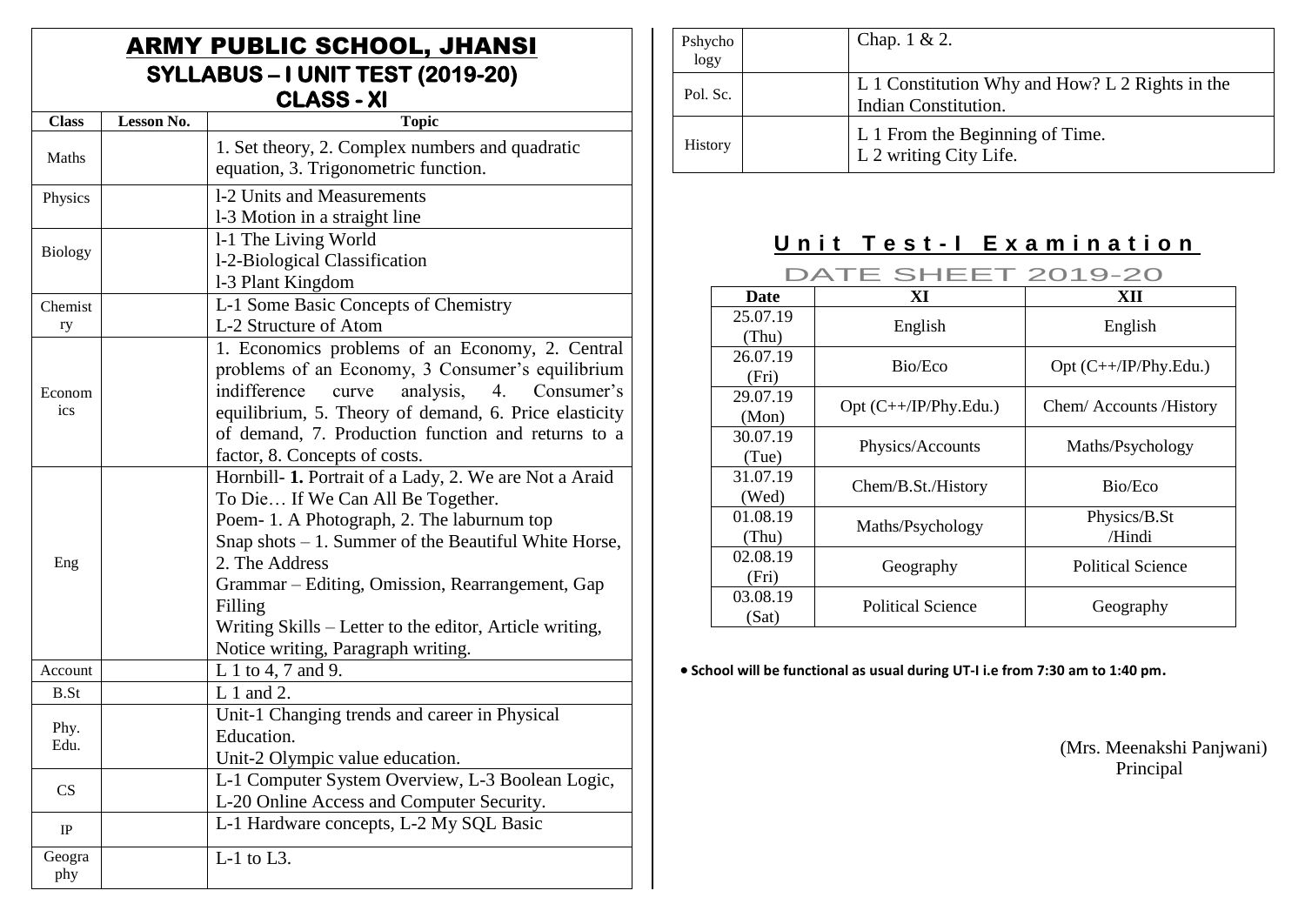## ARMY PUBLIC SCHOOL, JHANSI **SYLLABUS – I UNIT TEST (2019-20) CLASS - XI**

| <b>Class</b>   | Lesson No. | <b>Topic</b>                                                                                                                                                                                                                                                                                                                                                                         |  |  |
|----------------|------------|--------------------------------------------------------------------------------------------------------------------------------------------------------------------------------------------------------------------------------------------------------------------------------------------------------------------------------------------------------------------------------------|--|--|
| Maths          |            | 1. Set theory, 2. Complex numbers and quadratic<br>equation, 3. Trigonometric function.                                                                                                                                                                                                                                                                                              |  |  |
| Physics        |            | 1-2 Units and Measurements<br>1-3 Motion in a straight line                                                                                                                                                                                                                                                                                                                          |  |  |
| <b>Biology</b> |            | 1-1 The Living World<br>1-2-Biological Classification<br>1-3 Plant Kingdom                                                                                                                                                                                                                                                                                                           |  |  |
| Chemist<br>ry  |            | L-1 Some Basic Concepts of Chemistry<br>L-2 Structure of Atom                                                                                                                                                                                                                                                                                                                        |  |  |
| Econom<br>ics  |            | 1. Economics problems of an Economy, 2. Central<br>problems of an Economy, 3 Consumer's equilibrium<br>indifference curve<br>analysis, 4. Consumer's<br>equilibrium, 5. Theory of demand, 6. Price elasticity<br>of demand, 7. Production function and returns to a<br>factor, 8. Concepts of costs.                                                                                 |  |  |
| Eng            |            | Hornbill- 1. Portrait of a Lady, 2. We are Not a Araid<br>To Die If We Can All Be Together.<br>Poem- 1. A Photograph, 2. The laburnum top<br>Snap shots $-1$ . Summer of the Beautiful White Horse,<br>2. The Address<br>Grammar – Editing, Omission, Rearrangement, Gap<br>Filling<br>Writing Skills - Letter to the editor, Article writing,<br>Notice writing, Paragraph writing. |  |  |
| Account        |            | L 1 to 4, 7 and 9.                                                                                                                                                                                                                                                                                                                                                                   |  |  |
| B.St           |            | $L1$ and 2.                                                                                                                                                                                                                                                                                                                                                                          |  |  |
| Phy.<br>Edu.   |            | Unit-1 Changing trends and career in Physical<br>Education.<br>Unit-2 Olympic value education.                                                                                                                                                                                                                                                                                       |  |  |
| CS             |            | L-1 Computer System Overview, L-3 Boolean Logic,<br>L-20 Online Access and Computer Security.                                                                                                                                                                                                                                                                                        |  |  |
| IP             |            | L-1 Hardware concepts, L-2 My SQL Basic                                                                                                                                                                                                                                                                                                                                              |  |  |
| Geogra<br>phy  |            | $L-1$ to $L3$ .                                                                                                                                                                                                                                                                                                                                                                      |  |  |

| Pshycho<br>logy | Chap. $1 & 2$ .                                                         |
|-----------------|-------------------------------------------------------------------------|
| Pol. Sc.        | L 1 Constitution Why and How? L 2 Rights in the<br>Indian Constitution. |
| <b>History</b>  | L 1 From the Beginning of Time.<br>L 2 writing City Life.               |

# **Unit Test-I Examination**

DATE SHEET 2019-20

| <b>Date</b>       | XI                       | XП                      |
|-------------------|--------------------------|-------------------------|
| 25.07.19<br>(Thu) | English                  | English                 |
| 26.07.19<br>(Fri) | Bio/Eco                  | $Opt (C++/IP/Phy.Edu.)$ |
| 29.07.19<br>(Mon) | Opt $(C++/IP/Phy.Edu.)$  | Chem/Accounts/History   |
| 30.07.19<br>(Tue) | Physics/Accounts         | Maths/Psychology        |
| 31.07.19<br>(Wed) | Chem/B.St./History       | Bio/Eco                 |
| 01.08.19<br>(Thu) | Maths/Psychology         | Physics/B.St<br>/Hindi  |
| 02.08.19<br>(Fri) | Geography                | Political Science       |
| 03.08.19<br>(Sat) | <b>Political Science</b> | Geography               |

**School will be functional as usual during UT-I i.e from 7:30 am to 1:40 pm.**